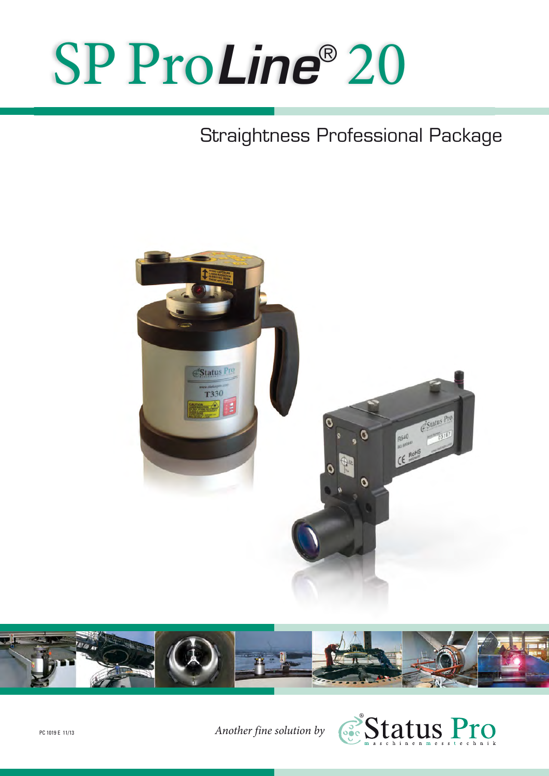# SP Pro*Line*® 20

# Straightness Professional Package





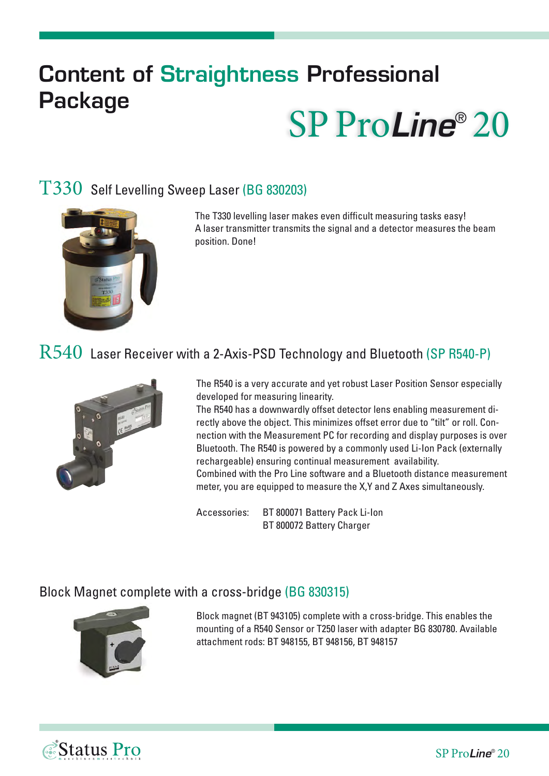# **Content of Straightness Professional Package** SP Pro*Line*® 20

## T330 Self Levelling Sweep Laser (BG 830203)



The T330 levelling laser makes even difficult measuring tasks easy! A laser transmitter transmits the signal and a detector measures the beam position. Done!

# R540 Laser Receiver with a 2-Axis-PSD Technology and Bluetooth (SP R540-P)



The R540 is a very accurate and yet robust Laser Position Sensor especially developed for measuring linearity.

The R540 has a downwardly offset detector lens enabling measurement directly above the object. This minimizes offset error due to "tilt" or roll. Connection with the Measurement PC for recording and display purposes is over Bluetooth. The R540 is powered by a commonly used Li-Ion Pack (externally rechargeable) ensuring continual measurement availability. Combined with the Pro Line software and a Bluetooth distance measurement

meter, you are equipped to measure the X,Y and Z Axes simultaneously.

Accessories: BT 800071 Battery Pack Li-Ion BT 800072 Battery Charger

#### Block Magnet complete with a cross-bridge (BG 830315)



Status Pro

Block magnet (BT 943105) complete with a cross-bridge. This enables the mounting of a R540 Sensor or T250 laser with adapter BG 830780. Available attachment rods: BT 948155, BT 948156, BT 948157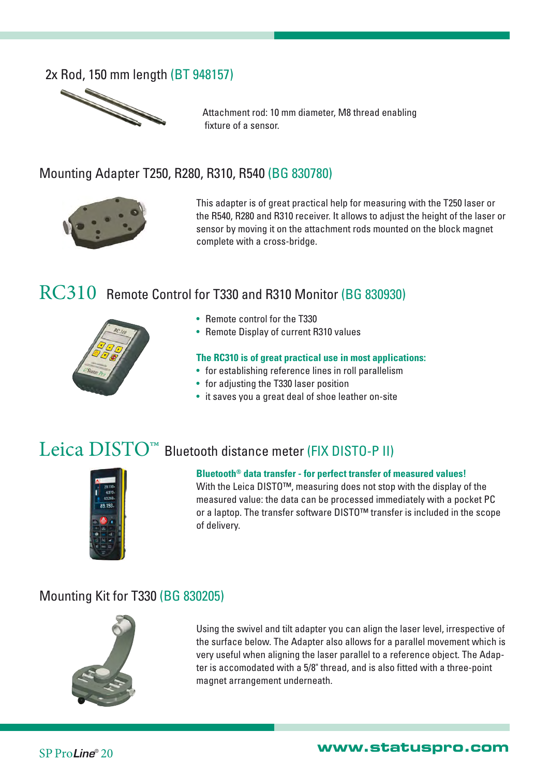#### 2x Rod, 150 mm length (BT 948157)



Attachment rod: 10 mm diameter, M8 thread enabling fixture of a sensor.

#### Mounting Adapter T250, R280, R310, R540 (BG 830780)



This adapter is of great practical help for measuring with the T250 laser or the R540, R280 and R310 receiver. It allows to adjust the height of the laser or sensor by moving it on the attachment rods mounted on the block magnet complete with a cross-bridge.

## RC310 Remote Control for T330 and R310 Monitor (BG 830930)



- Remote control for the T330
- Remote Display of current R310 values

#### **The RC310 is of great practical use in most applications:**

- for establishing reference lines in roll parallelism
- for adjusting the T330 laser position
- it saves you a great deal of shoe leather on-site

# Leica DISTO™ Bluetooth distance meter (FIX DISTO-P II)



#### **Bluetooth® data transfer - for perfect transfer of measured values!**

With the Leica DISTO™, measuring does not stop with the display of the measured value: the data can be processed immediately with a pocket PC or a laptop. The transfer software DISTO™ transfer is included in the scope of delivery.

#### Mounting Kit for T330 (BG 830205)



Using the swivel and tilt adapter you can align the laser level, irrespective of the surface below. The Adapter also allows for a parallel movement which is very useful when aligning the laser parallel to a reference object. The Adapter is accomodated with a 5/8" thread, and is also fitted with a three-point magnet arrangement underneath.

SP Pro*Line*® <sup>20</sup> **www.statuspro.com**